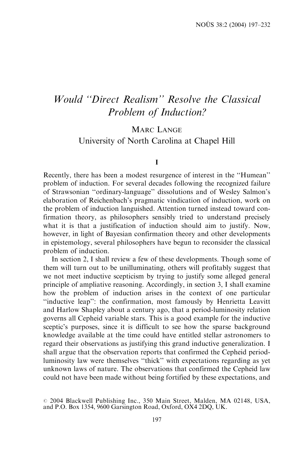# Would ''Direct Realism'' Resolve the Classical Problem of Induction?

### MARC LANGE

## University of North Carolina at Chapel Hill

#### I

Recently, there has been a modest resurgence of interest in the ''Humean'' problem of induction. For several decades following the recognized failure of Strawsonian ''ordinary-language'' dissolutions and of Wesley Salmon's elaboration of Reichenbach's pragmatic vindication of induction, work on the problem of induction languished. Attention turned instead toward confirmation theory, as philosophers sensibly tried to understand precisely what it is that a justification of induction should aim to justify. Now, however, in light of Bayesian confirmation theory and other developments in epistemology, several philosophers have begun to reconsider the classical problem of induction.

In section 2, I shall review a few of these developments. Though some of them will turn out to be unilluminating, others will profitably suggest that we not meet inductive scepticism by trying to justify some alleged general principle of ampliative reasoning. Accordingly, in section 3, I shall examine how the problem of induction arises in the context of one particular "inductive leap": the confirmation, most famously by Henrietta Leavitt and Harlow Shapley about a century ago, that a period-luminosity relation governs all Cepheid variable stars. This is a good example for the inductive sceptic's purposes, since it is difficult to see how the sparse background knowledge available at the time could have entitled stellar astronomers to regard their observations as justifying this grand inductive generalization. I shall argue that the observation reports that confirmed the Cepheid periodluminosity law were themselves ''thick'' with expectations regarding as yet unknown laws of nature. The observations that confirmed the Cepheid law could not have been made without being fortified by these expectations, and

*<sup>#</sup>* 2004 Blackwell Publishing Inc., 350 Main Street, Malden, MA 02148, USA, and P.O. Box 1354, 9600 Garsington Road, Oxford, OX4 2DQ, UK.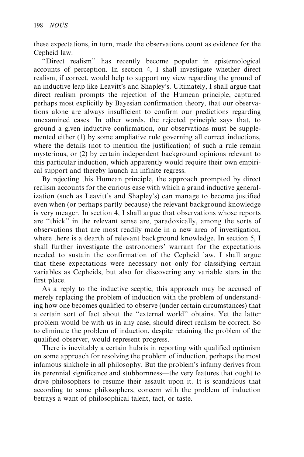these expectations, in turn, made the observations count as evidence for the Cepheid law.

''Direct realism'' has recently become popular in epistemological accounts of perception. In section 4, I shall investigate whether direct realism, if correct, would help to support my view regarding the ground of an inductive leap like Leavitt's and Shapley's. Ultimately, I shall argue that direct realism prompts the rejection of the Humean principle, captured perhaps most explicitly by Bayesian confirmation theory, that our observations alone are always insufficient to confirm our predictions regarding unexamined cases. In other words, the rejected principle says that, to ground a given inductive confirmation, our observations must be supplemented either (1) by some ampliative rule governing all correct inductions, where the details (not to mention the justification) of such a rule remain mysterious, or (2) by certain independent background opinions relevant to this particular induction, which apparently would require their own empirical support and thereby launch an infinite regress.

By rejecting this Humean principle, the approach prompted by direct realism accounts for the curious ease with which a grand inductive generalization (such as Leavitt's and Shapley's) can manage to become justified even when (or perhaps partly because) the relevant background knowledge is very meager. In section 4, I shall argue that observations whose reports are ''thick'' in the relevant sense are, paradoxically, among the sorts of observations that are most readily made in a new area of investigation, where there is a dearth of relevant background knowledge. In section 5, I shall further investigate the astronomers' warrant for the expectations needed to sustain the confirmation of the Cepheid law. I shall argue that these expectations were necessary not only for classifying certain variables as Cepheids, but also for discovering any variable stars in the first place.

As a reply to the inductive sceptic, this approach may be accused of merely replacing the problem of induction with the problem of understanding how one becomes qualified to observe (under certain circumstances) that a certain sort of fact about the ''external world'' obtains. Yet the latter problem would be with us in any case, should direct realism be correct. So to eliminate the problem of induction, despite retaining the problem of the qualified observer, would represent progress.

There is inevitably a certain hubris in reporting with qualified optimism on some approach for resolving the problem of induction, perhaps the most infamous sinkhole in all philosophy. But the problem's infamy derives from its perennial significance and stubbornness—the very features that ought to drive philosophers to resume their assault upon it. It is scandalous that according to some philosophers, concern with the problem of induction betrays a want of philosophical talent, tact, or taste.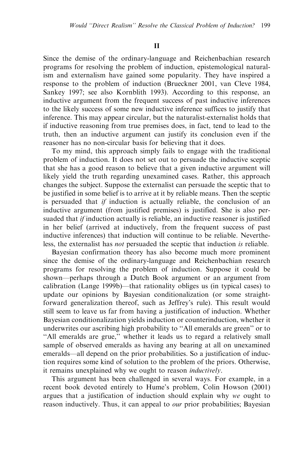Since the demise of the ordinary-language and Reichenbachian research programs for resolving the problem of induction, epistemological naturalism and externalism have gained some popularity. They have inspired a response to the problem of induction (Brueckner 2001, van Cleve 1984, Sankey 1997; see also Kornblith 1993). According to this response, an inductive argument from the frequent success of past inductive inferences to the likely success of some new inductive inference suffices to justify that inference. This may appear circular, but the naturalist-externalist holds that if inductive reasoning from true premises does, in fact, tend to lead to the truth, then an inductive argument can justify its conclusion even if the reasoner has no non-circular basis for believing that it does.

To my mind, this approach simply fails to engage with the traditional problem of induction. It does not set out to persuade the inductive sceptic that she has a good reason to believe that a given inductive argument will likely yield the truth regarding unexamined cases. Rather, this approach changes the subject. Suppose the externalist can persuade the sceptic that to be justified in some belief is to arrive at it by reliable means. Then the sceptic is persuaded that if induction is actually reliable, the conclusion of an inductive argument (from justified premises) is justified. She is also persuaded that if induction actually is reliable, an inductive reasoner is justified in her belief (arrived at inductively, from the frequent success of past inductive inferences) that induction will continue to be reliable. Nevertheless, the externalist has not persuaded the sceptic that induction is reliable.

Bayesian confirmation theory has also become much more prominent since the demise of the ordinary-language and Reichenbachian research programs for resolving the problem of induction. Suppose it could be shown—perhaps through a Dutch Book argument or an argument from calibration (Lange 1999b)—that rationality obliges us (in typical cases) to update our opinions by Bayesian conditionalization (or some straightforward generalization thereof, such as Jeffrey's rule). This result would still seem to leave us far from having a justification of induction. Whether Bayesian conditionalization yields induction or counterinduction, whether it underwrites our ascribing high probability to ''All emeralds are green'' or to "All emeralds are grue," whether it leads us to regard a relatively small sample of observed emeralds as having any bearing at all on unexamined emeralds—all depend on the prior probabilities. So a justification of induction requires some kind of solution to the problem of the priors. Otherwise, it remains unexplained why we ought to reason inductively.

This argument has been challenged in several ways. For example, in a recent book devoted entirely to Hume's problem, Colin Howson (2001) argues that a justification of induction should explain why we ought to reason inductively. Thus, it can appeal to *our* prior probabilities; Bayesian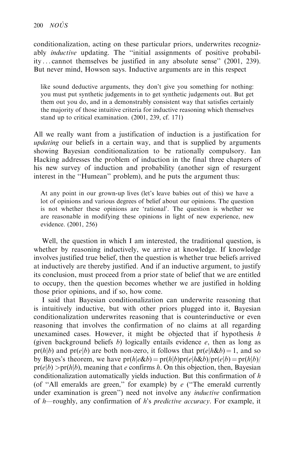conditionalization, acting on these particular priors, underwrites recognizably inductive updating. The ''initial assignments of positive probability ... cannot themselves be justified in any absolute sense'' (2001, 239). But never mind, Howson says. Inductive arguments are in this respect

like sound deductive arguments, they don't give you something for nothing: you must put synthetic judgements in to get synthetic judgements out. But get them out you do, and in a demonstrably consistent way that satisfies certainly the majority of those intuitive criteria for inductive reasoning which themselves stand up to critical examination. (2001, 239, cf. 171)

All we really want from a justification of induction is a justification for updating our beliefs in a certain way, and that is supplied by arguments showing Bayesian conditionalization to be rationally compulsory. Ian Hacking addresses the problem of induction in the final three chapters of his new survey of induction and probability (another sign of resurgent interest in the ''Humean'' problem), and he puts the argument thus:

At any point in our grown-up lives (let's leave babies out of this) we have a lot of opinions and various degrees of belief about our opinions. The question is not whether these opinions are 'rational'. The question is whether we are reasonable in modifying these opinions in light of new experience, new evidence. (2001, 256)

Well, the question in which I am interested, the traditional question, is whether by reasoning inductively, we arrive at knowledge. If knowledge involves justified true belief, then the question is whether true beliefs arrived at inductively are thereby justified. And if an inductive argument, to justify its conclusion, must proceed from a prior state of belief that we are entitled to occupy, then the question becomes whether we are justified in holding those prior opinions, and if so, how come.

I said that Bayesian conditionalization can underwrite reasoning that is intuitively inductive, but with other priors plugged into it, Bayesian conditionalization underwrites reasoning that is counterinductive or even reasoning that involves the confirmation of no claims at all regarding unexamined cases. However, it might be objected that if hypothesis  $h$ (given background beliefs  $b$ ) logically entails evidence  $e$ , then as long as  $pr(h|b)$  and  $pr(e|b)$  are both non-zero, it follows that  $pr(e|h\&b) = 1$ , and so by Bayes's theorem, we have  $pr(h|e\&b) = pr(h|b)pr(e|h\&b)/pr(e|b) = pr(h|b)/p$  $pr(e|b)$  >pr(h|b), meaning that e confirms h. On this objection, then, Bayesian conditionalization automatically yields induction. But this confirmation of  $h$ (of "All emeralds are green," for example) by  $e$  ("The emerald currently under examination is green'') need not involve any inductive confirmation of  $h$ —roughly, any confirmation of h's *predictive accuracy*. For example, it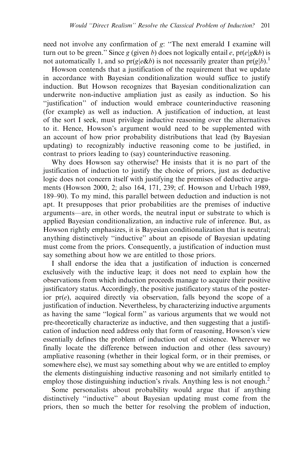need not involve any confirmation of g: ''The next emerald I examine will turn out to be green." Since g (given b) does not logically entail e,  $pr(e|g\&b)$  is not automatically 1, and so  $pr(g|e \& b)$  is not necessarily greater than  $pr(g|b)$ .<sup>1</sup>

Howson contends that a justification of the requirement that we update in accordance with Bayesian conditionalization would suffice to justify induction. But Howson recognizes that Bayesian conditionalization can underwrite non-inductive ampliation just as easily as induction. So his ''justification'' of induction would embrace counterinductive reasoning (for example) as well as induction. A justification of induction, at least of the sort I seek, must privilege inductive reasoning over the alternatives to it. Hence, Howson's argument would need to be supplemented with an account of how prior probability distributions that lead (by Bayesian updating) to recognizably inductive reasoning come to be justified, in contrast to priors leading to (say) counterinductive reasoning.

Why does Howson say otherwise? He insists that it is no part of the justification of induction to justify the choice of priors, just as deductive logic does not concern itself with justifying the premises of deductive arguments (Howson 2000, 2; also 164, 171, 239; cf. Howson and Urbach 1989, 189–90). To my mind, this parallel between deduction and induction is not apt. It presupposes that prior probabilities are the premises of inductive arguments—are, in other words, the neutral input or substrate to which is applied Bayesian conditionalization, an inductive rule of inference. But, as Howson rightly emphasizes, it is Bayesian conditionalization that is neutral; anything distinctively ''inductive'' about an episode of Bayesian updating must come from the priors. Consequently, a justification of induction must say something about how we are entitled to those priors.

I shall endorse the idea that a justification of induction is concerned exclusively with the inductive leap; it does not need to explain how the observations from which induction proceeds manage to acquire their positive justificatory status. Accordingly, the positive justificatory status of the posterior  $pr(e)$ , acquired directly via observation, falls beyond the scope of a justification of induction. Nevertheless, by characterizing inductive arguments as having the same ''logical form'' as various arguments that we would not pre-theoretically characterize as inductive, and then suggesting that a justification of induction need address only that form of reasoning, Howson's view essentially defines the problem of induction out of existence. Wherever we finally locate the difference between induction and other (less savoury) ampliative reasoning (whether in their logical form, or in their premises, or somewhere else), we must say something about why we are entitled to employ the elements distinguishing inductive reasoning and not similarly entitled to employ those distinguishing induction's rivals. Anything less is not enough.<sup>2</sup>

Some personalists about probability would argue that if anything distinctively ''inductive'' about Bayesian updating must come from the priors, then so much the better for resolving the problem of induction,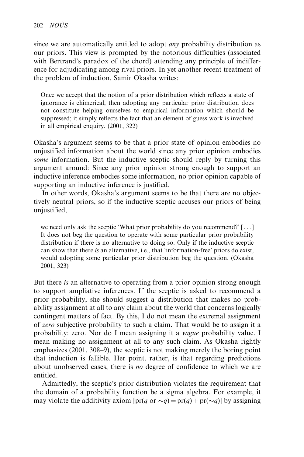since we are automatically entitled to adopt *any* probability distribution as our priors. This view is prompted by the notorious difficulties (associated with Bertrand's paradox of the chord) attending any principle of indifference for adjudicating among rival priors. In yet another recent treatment of the problem of induction, Samir Okasha writes:

Once we accept that the notion of a prior distribution which reflects a state of ignorance is chimerical, then adopting any particular prior distribution does not constitute helping ourselves to empirical information which should be suppressed; it simply reflects the fact that an element of guess work is involved in all empirical enquiry. (2001, 322)

Okasha's argument seems to be that a prior state of opinion embodies no unjustified information about the world since any prior opinion embodies some information. But the inductive sceptic should reply by turning this argument around: Since any prior opinion strong enough to support an inductive inference embodies some information, no prior opinion capable of supporting an inductive inference is justified.

In other words, Okasha's argument seems to be that there are no objectively neutral priors, so if the inductive sceptic accuses our priors of being unjustified,

we need only ask the sceptic 'What prior probability do you recommend?'  $[\,\ldots\,]$ It does not beg the question to operate with some particular prior probability distribution if there is no alternative to doing so. Only if the inductive sceptic can show that there is an alternative, i.e., that 'information-free' priors do exist, would adopting some particular prior distribution beg the question. (Okasha 2001, 323)

But there is an alternative to operating from a prior opinion strong enough to support ampliative inferences. If the sceptic is asked to recommend a prior probability, she should suggest a distribution that makes no probability assignment at all to any claim about the world that concerns logically contingent matters of fact. By this, I do not mean the extremal assignment of zero subjective probability to such a claim. That would be to assign it a probability: zero. Nor do I mean assigning it a vague probability value. I mean making no assignment at all to any such claim. As Okasha rightly emphasizes (2001, 308–9), the sceptic is not making merely the boring point that induction is fallible. Her point, rather, is that regarding predictions about unobserved cases, there is no degree of confidence to which we are entitled.

Admittedly, the sceptic's prior distribution violates the requirement that the domain of a probability function be a sigma algebra. For example, it may violate the additivity axiom  $pr(q \text{ or } \neg q) = pr(q) + pr(\neg q)$  by assigning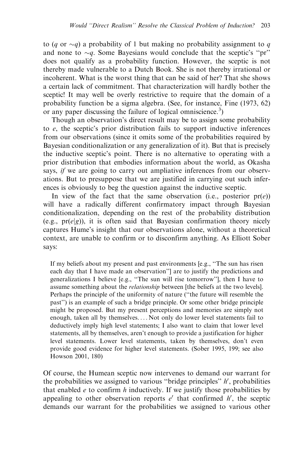to (q or  $\sim q$ ) a probability of 1 but making no probability assignment to q and none to  $\sim q$ . Some Bayesians would conclude that the sceptic's "pr" does not qualify as a probability function. However, the sceptic is not thereby made vulnerable to a Dutch Book. She is not thereby irrational or incoherent. What is the worst thing that can be said of her? That she shows a certain lack of commitment. That characterization will hardly bother the sceptic! It may well be overly restrictive to require that the domain of a probability function be a sigma algebra. (See, for instance, Fine (1973, 62) or any paper discussing the failure of logical omniscience.<sup>3</sup>)

Though an observation's direct result may be to assign some probability to  $e$ , the sceptic's prior distribution fails to support inductive inferences from our observations (since it omits some of the probabilities required by Bayesian conditionalization or any generalization of it). But that is precisely the inductive sceptic's point. There is no alternative to operating with a prior distribution that embodies information about the world, as Okasha says, *if* we are going to carry out ampliative inferences from our observations. But to presuppose that we are justified in carrying out such inferences is obviously to beg the question against the inductive sceptic.

In view of the fact that the same observation (i.e., posterior  $pr(e)$ ) will have a radically different confirmatory impact through Bayesian conditionalization, depending on the rest of the probability distribution (e.g.,  $pr(e|g)$ ), it is often said that Bayesian confirmation theory nicely captures Hume's insight that our observations alone, without a theoretical context, are unable to confirm or to disconfirm anything. As Elliott Sober says:

If my beliefs about my present and past environments [e.g., ''The sun has risen each day that I have made an observation''] are to justify the predictions and generalizations I believe [e.g., ''The sun will rise tomorrow''], then I have to assume something about the *relationship* between [the beliefs at the two levels]. Perhaps the principle of the uniformity of nature (''the future will resemble the past'') is an example of such a bridge principle. Or some other bridge principle might be proposed. But my present perceptions and memories are simply not enough, taken all by themselves. ... Not only do lower level statements fail to deductively imply high level statements; I also want to claim that lower level statements, all by themselves, aren't enough to provide a justification for higher level statements. Lower level statements, taken by themselves, don't even provide good evidence for higher level statements. (Sober 1995, 199; see also Howson 2001, 180)

Of course, the Humean sceptic now intervenes to demand our warrant for the probabilities we assigned to various "bridge principles"  $h'$ , probabilities that enabled  $e$  to confirm  $h$  inductively. If we justify those probabilities by appealing to other observation reports  $e'$  that confirmed  $h'$ , the sceptic demands our warrant for the probabilities we assigned to various other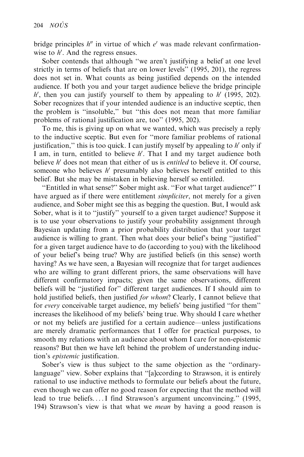bridge principles  $h''$  in virtue of which  $e'$  was made relevant confirmationwise to  $h'$ . And the regress ensues.

Sober contends that although ''we aren't justifying a belief at one level strictly in terms of beliefs that are on lower levels'' (1995, 201), the regress does not set in. What counts as being justified depends on the intended audience. If both you and your target audience believe the bridge principle  $h'$ , then you can justify yourself to them by appealing to  $h'$  (1995, 202). Sober recognizes that if your intended audience is an inductive sceptic, then the problem is ''insoluble,'' but ''this does not mean that more familiar problems of rational justification are, too'' (1995, 202).

To me, this is giving up on what we wanted, which was precisely a reply to the inductive sceptic. But even for ''more familiar problems of rational justification," this is too quick. I can justify myself by appealing to  $h'$  only if I am, in turn, entitled to believe  $h'$ . That I and my target audience both believe  $h'$  does not mean that either of us is *entitled* to believe it. Of course, someone who believes  $h'$  presumably also believes herself entitled to this belief. But she may be mistaken in believing herself so entitled.

''Entitled in what sense?'' Sober might ask. ''For what target audience?'' I have argued as if there were entitlement *simpliciter*, not merely for a given audience, and Sober might see this as begging the question. But, I would ask Sober, what is it to ''justify'' yourself to a given target audience? Suppose it is to use your observations to justify your probability assignment through Bayesian updating from a prior probability distribution that your target audience is willing to grant. Then what does your belief's being ''justified'' for a given target audience have to do (according to you) with the likelihood of your belief's being true? Why are justified beliefs (in this sense) worth having? As we have seen, a Bayesian will recognize that for target audiences who are willing to grant different priors, the same observations will have different confirmatory impacts; given the same observations, different beliefs will be ''justified for'' different target audiences. If I should aim to hold justified beliefs, then justified for whom? Clearly, I cannot believe that for every conceivable target audience, my beliefs' being justified ''for them'' increases the likelihood of my beliefs' being true. Why should I care whether or not my beliefs are justified for a certain audience—unless justifications are merely dramatic performances that I offer for practical purposes, to smooth my relations with an audience about whom I care for non-epistemic reasons? But then we have left behind the problem of understanding induction's epistemic justification.

Sober's view is thus subject to the same objection as the ''ordinarylanguage'' view. Sober explains that ''[a]ccording to Strawson, it is entirely rational to use inductive methods to formulate our beliefs about the future, even though we can offer no good reason for expecting that the method will lead to true beliefs. ...I find Strawson's argument unconvincing.'' (1995, 194) Strawson's view is that what we *mean* by having a good reason is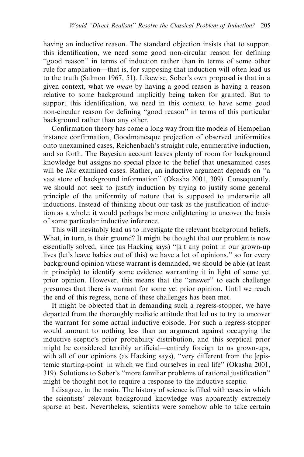having an inductive reason. The standard objection insists that to support this identification, we need some good non-circular reason for defining ''good reason'' in terms of induction rather than in terms of some other rule for ampliation—that is, for supposing that induction will often lead us to the truth (Salmon 1967, 51). Likewise, Sober's own proposal is that in a given context, what we mean by having a good reason is having a reason relative to some background implicitly being taken for granted. But to support this identification, we need in this context to have some good non-circular reason for defining ''good reason'' in terms of this particular background rather than any other.

Confirmation theory has come a long way from the models of Hempelian instance confirmation, Goodmanesque projection of observed uniformities onto unexamined cases, Reichenbach's straight rule, enumerative induction, and so forth. The Bayesian account leaves plenty of room for background knowledge but assigns no special place to the belief that unexamined cases will be like examined cases. Rather, an inductive argument depends on "a vast store of background information'' (Okasha 2001, 309). Consequently, we should not seek to justify induction by trying to justify some general principle of the uniformity of nature that is supposed to underwrite all inductions. Instead of thinking about our task as the justification of induction as a whole, it would perhaps be more enlightening to uncover the basis of some particular inductive inference.

This will inevitably lead us to investigate the relevant background beliefs. What, in turn, is their ground? It might be thought that our problem is now essentially solved, since (as Hacking says) ''[a]t any point in our grown-up lives (let's leave babies out of this) we have a lot of opinions,'' so for every background opinion whose warrant is demanded, we should be able (at least in principle) to identify some evidence warranting it in light of some yet prior opinion. However, this means that the ''answer'' to each challenge presumes that there is warrant for some yet prior opinion. Until we reach the end of this regress, none of these challenges has been met.

It might be objected that in demanding such a regress-stopper, we have departed from the thoroughly realistic attitude that led us to try to uncover the warrant for some actual inductive episode. For such a regress-stopper would amount to nothing less than an argument against occupying the inductive sceptic's prior probability distribution, and this sceptical prior might be considered terribly artificial—entirely foreign to us grown-ups, with all of our opinions (as Hacking says), "very different from the [epistemic starting-point] in which we find ourselves in real life'' (Okasha 2001, 319). Solutions to Sober's ''more familiar problems of rational justification'' might be thought not to require a response to the inductive sceptic.

I disagree, in the main. The history of science is filled with cases in which the scientists' relevant background knowledge was apparently extremely sparse at best. Nevertheless, scientists were somehow able to take certain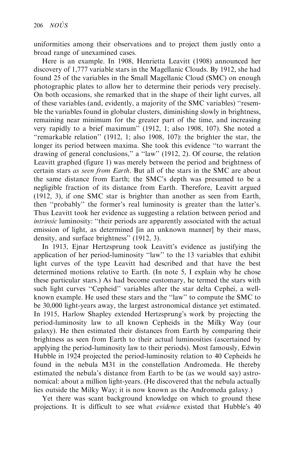uniformities among their observations and to project them justly onto a broad range of unexamined cases.

Here is an example. In 1908, Henrietta Leavitt (1908) announced her discovery of 1,777 variable stars in the Magellanic Clouds. By 1912, she had found 25 of the variables in the Small Magellanic Cloud (SMC) on enough photographic plates to allow her to determine their periods very precisely. On both occasions, she remarked that in the shape of their light curves, all of these variables (and, evidently, a majority of the SMC variables) ''resemble the variables found in globular clusters, diminishing slowly in brightness, remaining near minimum for the greater part of the time, and increasing very rapidly to a brief maximum'' (1912, 1; also 1908, 107). She noted a "remarkable relation" (1912, 1; also 1908, 107): the brighter the star, the longer its period between maxima. She took this evidence ''to warrant the drawing of general conclusions,'' a ''law'' (1912, 2). Of course, the relation Leavitt graphed (figure 1) was merely between the period and brightness of certain stars as seen from Earth. But all of the stars in the SMC are about the same distance from Earth; the SMC's depth was presumed to be a negligible fraction of its distance from Earth. Therefore, Leavitt argued (1912, 3), if one SMC star is brighter than another as seen from Earth, then ''probably'' the former's real luminosity is greater than the latter's. Thus Leavitt took her evidence as suggesting a relation between period and intrinsic luminosity: ''their periods are apparently associated with the actual emission of light, as determined [in an unknown manner] by their mass, density, and surface brightness'' (1912, 3).

In 1913, Ejnar Hertzsprung took Leavitt's evidence as justifying the application of her period-luminosity ''law'' to the 13 variables that exhibit light curves of the type Leavitt had described and that have the best determined motions relative to Earth. (In note 5, I explain why he chose these particular stars.) As had become customary, he termed the stars with such light curves "Cepheid" variables after the star delta Cephei, a wellknown example. He used these stars and the ''law'' to compute the SMC to be 30,000 light-years away, the largest astronomical distance yet estimated. In 1915, Harlow Shapley extended Hertzsprung's work by projecting the period-luminosity law to all known Cepheids in the Milky Way (our galaxy). He then estimated their distances from Earth by comparing their brightness as seen from Earth to their actual luminosities (ascertained by applying the period-luminosity law to their periods). Most famously, Edwin Hubble in 1924 projected the period-luminosity relation to 40 Cepheids he found in the nebula M31 in the constellation Andromeda. He thereby estimated the nebula's distance from Earth to be (as we would say) astronomical: about a million light-years. (He discovered that the nebula actually lies outside the Milky Way; it is now known as the Andromeda galaxy.)

Yet there was scant background knowledge on which to ground these projections. It is difficult to see what evidence existed that Hubble's 40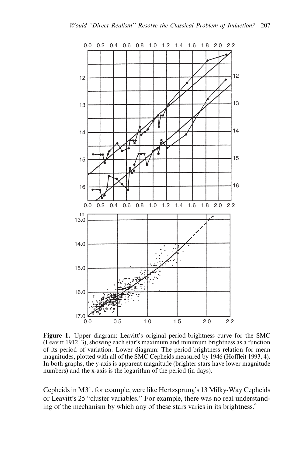

Figure 1. Upper diagram: Leavitt's original period-brightness curve for the SMC (Leavitt 1912, 3), showing each star's maximum and minimum brightness as a function of its period of variation. Lower diagram: The period-brightness relation for mean magnitudes, plotted with all of the SMC Cepheids measured by 1946 (Hoffleit 1993, 4). In both graphs, the y-axis is apparent magnitude (brighter stars have lower magnitude numbers) and the x-axis is the logarithm of the period (in days).

Cepheids in M31, for example, were like Hertzsprung's 13 Milky-Way Cepheids or Leavitt's 25 ''cluster variables.'' For example, there was no real understanding of the mechanism by which any of these stars varies in its brightness.<sup>4</sup>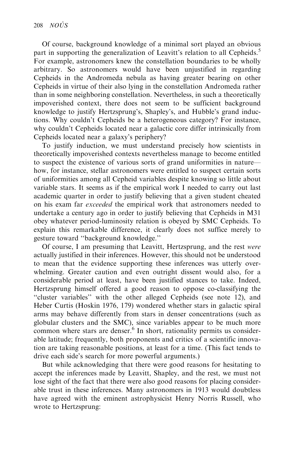Of course, background knowledge of a minimal sort played an obvious part in supporting the generalization of Leavitt's relation to all Cepheids.<sup>5</sup> For example, astronomers knew the constellation boundaries to be wholly arbitrary. So astronomers would have been unjustified in regarding Cepheids in the Andromeda nebula as having greater bearing on other Cepheids in virtue of their also lying in the constellation Andromeda rather than in some neighboring constellation. Nevertheless, in such a theoretically impoverished context, there does not seem to be sufficient background knowledge to justify Hertzsprung's, Shapley's, and Hubble's grand inductions. Why couldn't Cepheids be a heterogeneous category? For instance, why couldn't Cepheids located near a galactic core differ intrinsically from Cepheids located near a galaxy's periphery?

To justify induction, we must understand precisely how scientists in theoretically impoverished contexts nevertheless manage to become entitled to suspect the existence of various sorts of grand uniformities in nature how, for instance, stellar astronomers were entitled to suspect certain sorts of uniformities among all Cepheid variables despite knowing so little about variable stars. It seems as if the empirical work I needed to carry out last academic quarter in order to justify believing that a given student cheated on his exam far exceeded the empirical work that astronomers needed to undertake a century ago in order to justify believing that Cepheids in M31 obey whatever period-luminosity relation is obeyed by SMC Cepheids. To explain this remarkable difference, it clearly does not suffice merely to gesture toward ''background knowledge.''

Of course, I am presuming that Leavitt, Hertzsprung, and the rest were actually justified in their inferences. However, this should not be understood to mean that the evidence supporting these inferences was utterly overwhelming. Greater caution and even outright dissent would also, for a considerable period at least, have been justified stances to take. Indeed, Hertzsprung himself offered a good reason to oppose co-classifying the ''cluster variables'' with the other alleged Cepheids (see note 12), and Heber Curtis (Hoskin 1976, 179) wondered whether stars in galactic spiral arms may behave differently from stars in denser concentrations (such as globular clusters and the SMC), since variables appear to be much more common where stars are denser.<sup>6</sup> In short, rationality permits us considerable latitude; frequently, both proponents and critics of a scientific innovation are taking reasonable positions, at least for a time. (This fact tends to drive each side's search for more powerful arguments.)

But while acknowledging that there were good reasons for hesitating to accept the inferences made by Leavitt, Shapley, and the rest, we must not lose sight of the fact that there were also good reasons for placing considerable trust in these inferences. Many astronomers in 1913 would doubtless have agreed with the eminent astrophysicist Henry Norris Russell, who wrote to Hertzsprung: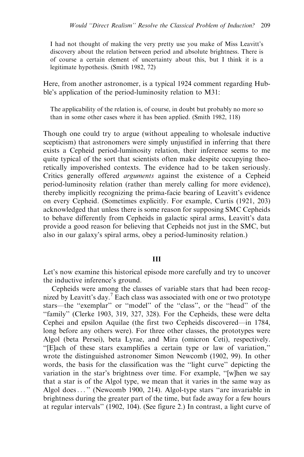I had not thought of making the very pretty use you make of Miss Leavitt's discovery about the relation between period and absolute brightness. There is of course a certain element of uncertainty about this, but I think it is a legitimate hypothesis. (Smith 1982, 72)

Here, from another astronomer, is a typical 1924 comment regarding Hubble's application of the period-luminosity relation to M31:

The applicability of the relation is, of course, in doubt but probably no more so than in some other cases where it has been applied. (Smith 1982, 118)

Though one could try to argue (without appealing to wholesale inductive scepticism) that astronomers were simply unjustified in inferring that there exists a Cepheid period-luminosity relation, their inference seems to me quite typical of the sort that scientists often make despite occupying theoretically impoverished contexts. The evidence had to be taken seriously. Critics generally offered arguments against the existence of a Cepheid period-luminosity relation (rather than merely calling for more evidence), thereby implicitly recognizing the prima-facie bearing of Leavitt's evidence on every Cepheid. (Sometimes explicitly. For example, Curtis (1921, 203) acknowledged that unless there is some reason for supposing SMC Cepheids to behave differently from Cepheids in galactic spiral arms, Leavitt's data provide a good reason for believing that Cepheids not just in the SMC, but also in our galaxy's spiral arms, obey a period-luminosity relation.)

#### III

Let's now examine this historical episode more carefully and try to uncover the inductive inference's ground.

Cepheids were among the classes of variable stars that had been recognized by Leavitt's day.<sup>7</sup> Each class was associated with one or two prototype stars—the ''exemplar'' or ''model'' of the ''class'', or the ''head'' of the ''family'' (Clerke 1903, 319, 327, 328). For the Cepheids, these were delta Cephei and epsilon Aquilae (the first two Cepheids discovered—in 1784, long before any others were). For three other classes, the prototypes were Algol (beta Persei), beta Lyrae, and Mira (omicron Ceti), respectively. ''[E]ach of these stars examplifies a certain type or law of variation,'' wrote the distinguished astronomer Simon Newcomb (1902, 99). In other words, the basis for the classification was the ''light curve'' depicting the variation in the star's brightness over time. For example, ''[w]hen we say that a star is of the Algol type, we mean that it varies in the same way as Algol does... '' (Newcomb 1900, 214). Algol-type stars ''are invariable in brightness during the greater part of the time, but fade away for a few hours at regular intervals'' (1902, 104). (See figure 2.) In contrast, a light curve of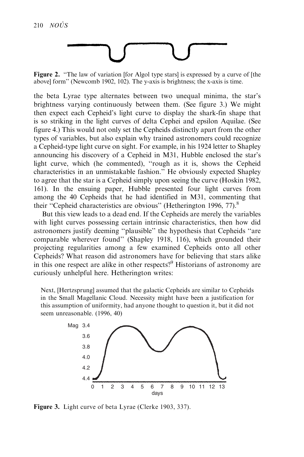

Figure 2. "The law of variation [for Algol type stars] is expressed by a curve of [the above] form'' (Newcomb 1902, 102). The y-axis is brightness; the x-axis is time.

the beta Lyrae type alternates between two unequal minima, the star's brightness varying continuously between them. (See figure 3.) We might then expect each Cepheid's light curve to display the shark-fin shape that is so striking in the light curves of delta Cephei and epsilon Aquilae. (See figure 4.) This would not only set the Cepheids distinctly apart from the other types of variables, but also explain why trained astronomers could recognize a Cepheid-type light curve on sight. For example, in his 1924 letter to Shapley announcing his discovery of a Cepheid in M31, Hubble enclosed the star's light curve, which (he commented), ''rough as it is, shows the Cepheid characteristics in an unmistakable fashion.'' He obviously expected Shapley to agree that the star is a Cepheid simply upon seeing the curve (Hoskin 1982, 161). In the ensuing paper, Hubble presented four light curves from among the 40 Cepheids that he had identified in M31, commenting that their "Cepheid characteristics are obvious" (Hetherington 1996, 77).<sup>8</sup>

But this view leads to a dead end. If the Cepheids are merely the variables with light curves possessing certain intrinsic characteristics, then how did astronomers justify deeming ''plausible'' the hypothesis that Cepheids ''are comparable wherever found'' (Shapley 1918, 116), which grounded their projecting regularities among a few examined Cepheids onto all other Cepheids? What reason did astronomers have for believing that stars alike in this one respect are alike in other respects?<sup>9</sup> Historians of astronomy are curiously unhelpful here. Hetherington writes:

Next, [Hertzsprung] assumed that the galactic Cepheids are similar to Cepheids in the Small Magellanic Cloud. Necessity might have been a justification for this assumption of uniformity, had anyone thought to question it, but it did not seem unreasonable. (1996, 40)



Figure 3. Light curve of beta Lyrae (Clerke 1903, 337).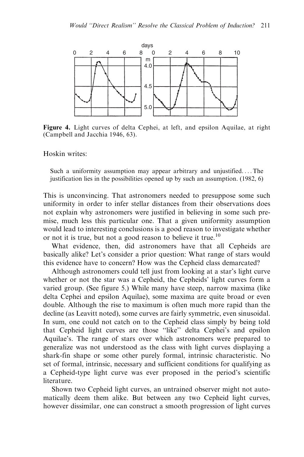

Figure 4. Light curves of delta Cephei, at left, and epsilon Aquilae, at right (Campbell and Jacchia 1946, 63).

Hoskin writes:

Such a uniformity assumption may appear arbitrary and unjustified. ...The justification lies in the possibilities opened up by such an assumption. (1982, 6)

This is unconvincing. That astronomers needed to presuppose some such uniformity in order to infer stellar distances from their observations does not explain why astronomers were justified in believing in some such premise, much less this particular one. That a given uniformity assumption would lead to interesting conclusions is a good reason to investigate whether or not it is true, but not a good reason to believe it true.<sup>10</sup>

What evidence, then, did astronomers have that all Cepheids are basically alike? Let's consider a prior question: What range of stars would this evidence have to concern? How was the Cepheid class demarcated?

Although astronomers could tell just from looking at a star's light curve whether or not the star was a Cepheid, the Cepheids' light curves form a varied group. (See figure 5.) While many have steep, narrow maxima (like delta Cephei and epsilon Aquilae), some maxima are quite broad or even double. Although the rise to maximum is often much more rapid than the decline (as Leavitt noted), some curves are fairly symmetric, even sinusoidal. In sum, one could not catch on to the Cepheid class simply by being told that Cepheid light curves are those ''like'' delta Cephei's and epsilon Aquilae's. The range of stars over which astronomers were prepared to generalize was not understood as the class with light curves displaying a shark-fin shape or some other purely formal, intrinsic characteristic. No set of formal, intrinsic, necessary and sufficient conditions for qualifying as a Cepheid-type light curve was ever proposed in the period's scientific literature.

Shown two Cepheid light curves, an untrained observer might not automatically deem them alike. But between any two Cepheid light curves, however dissimilar, one can construct a smooth progression of light curves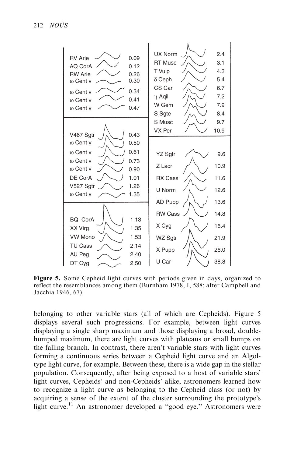

Figure 5. Some Cepheid light curves with periods given in days, organized to reflect the resemblances among them (Burnham 1978, I, 588; after Campbell and Jacchia 1946, 67).

belonging to other variable stars (all of which are Cepheids). Figure 5 displays several such progressions. For example, between light curves displaying a single sharp maximum and those displaying a broad, doublehumped maximum, there are light curves with plateaus or small bumps on the falling branch. In contrast, there aren't variable stars with light curves forming a continuous series between a Cepheid light curve and an Algoltype light curve, for example. Between these, there is a wide gap in the stellar population. Consequently, after being exposed to a host of variable stars' light curves, Cepheids' and non-Cepheids' alike, astronomers learned how to recognize a light curve as belonging to the Cepheid class (or not) by acquiring a sense of the extent of the cluster surrounding the prototype's light curve.<sup>11</sup> An astronomer developed a "good eye." Astronomers were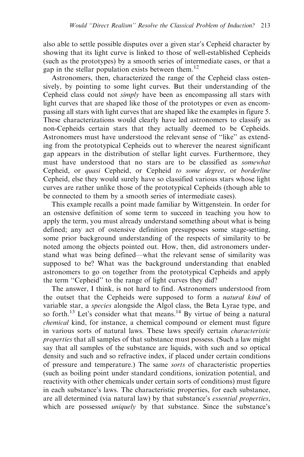also able to settle possible disputes over a given star's Cepheid character by showing that its light curve is linked to those of well-established Cepheids (such as the prototypes) by a smooth series of intermediate cases, or that a gap in the stellar population exists between them.<sup>12</sup>

Astronomers, then, characterized the range of the Cepheid class ostensively, by pointing to some light curves. But their understanding of the Cepheid class could not simply have been as encompassing all stars with light curves that are shaped like those of the prototypes or even as encompassing all stars with light curves that are shaped like the examples in figure 5. These characterizations would clearly have led astronomers to classify as non-Cepheids certain stars that they actually deemed to be Cepheids. Astronomers must have understood the relevant sense of ''like'' as extending from the prototypical Cepheids out to wherever the nearest significant gap appears in the distribution of stellar light curves. Furthermore, they must have understood that no stars are to be classified as somewhat Cepheid, or quasi Cepheid, or Cepheid to some degree, or borderline Cepheid, else they would surely have so classified various stars whose light curves are rather unlike those of the prototypical Cepheids (though able to be connected to them by a smooth series of intermediate cases).

This example recalls a point made familiar by Wittgenstein. In order for an ostensive definition of some term to succeed in teaching you how to apply the term, you must already understand something about what is being defined; any act of ostensive definition presupposes some stage-setting, some prior background understanding of the respects of similarity to be noted among the objects pointed out. How, then, did astronomers understand what was being defined—what the relevant sense of similarity was supposed to be? What was the background understanding that enabled astronomers to go on together from the prototypical Cepheids and apply the term ''Cepheid'' to the range of light curves they did?

The answer, I think, is not hard to find. Astronomers understood from the outset that the Cepheids were supposed to form a natural kind of variable star, a species alongside the Algol class, the Beta Lyrae type, and so forth.<sup>13</sup> Let's consider what that means.<sup>14</sup> By virtue of being a natural chemical kind, for instance, a chemical compound or element must figure in various sorts of natural laws. These laws specify certain characteristic properties that all samples of that substance must possess. (Such a law might say that all samples of the substance are liquids, with such and so optical density and such and so refractive index, if placed under certain conditions of pressure and temperature.) The same sorts of characteristic properties (such as boiling point under standard conditions, ionization potential, and reactivity with other chemicals under certain sorts of conditions) must figure in each substance's laws. The characteristic properties, for each substance, are all determined (via natural law) by that substance's essential properties, which are possessed *uniquely* by that substance. Since the substance's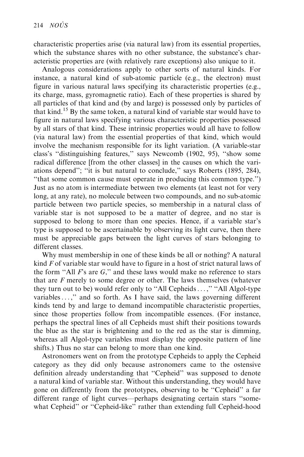characteristic properties arise (via natural law) from its essential properties, which the substance shares with no other substance, the substance's characteristic properties are (with relatively rare exceptions) also unique to it.

Analogous considerations apply to other sorts of natural kinds. For instance, a natural kind of sub-atomic particle (e.g., the electron) must figure in various natural laws specifying its characteristic properties (e.g., its charge, mass, gyromagnetic ratio). Each of these properties is shared by all particles of that kind and (by and large) is possessed only by particles of that kind.<sup>15</sup> By the same token, a natural kind of variable star would have to figure in natural laws specifying various characteristic properties possessed by all stars of that kind. These intrinsic properties would all have to follow (via natural law) from the essential properties of that kind, which would involve the mechanism responsible for its light variation. (A variable-star class's ''distinguishing features,'' says Newcomb (1902, 95), ''show some radical difference [from the other classes] in the causes on which the variations depend"; "it is but natural to conclude," says Roberts (1895, 284), ''that some common cause must operate in producing this common type.'') Just as no atom is intermediate between two elements (at least not for very long, at any rate), no molecule between two compounds, and no sub-atomic particle between two particle species, so membership in a natural class of variable star is not supposed to be a matter of degree, and no star is supposed to belong to more than one species. Hence, if a variable star's type is supposed to be ascertainable by observing its light curve, then there must be appreciable gaps between the light curves of stars belonging to different classes.

Why must membership in one of these kinds be all or nothing? A natural kind F of variable star would have to figure in a host of strict natural laws of the form "All  $F$ 's are  $G$ ," and these laws would make no reference to stars that are  $F$  merely to some degree or other. The laws themselves (whatever they turn out to be) would refer only to ''All Cepheids... ,'' ''All Algol-type variables...," and so forth. As I have said, the laws governing different kinds tend by and large to demand incompatible characteristic properties, since those properties follow from incompatible essences. (For instance, perhaps the spectral lines of all Cepheids must shift their positions towards the blue as the star is brightening and to the red as the star is dimming, whereas all Algol-type variables must display the opposite pattern of line shifts.) Thus no star can belong to more than one kind.

Astronomers went on from the prototype Cepheids to apply the Cepheid category as they did only because astronomers came to the ostensive definition already understanding that ''Cepheid'' was supposed to denote a natural kind of variable star. Without this understanding, they would have gone on differently from the prototypes, observing to be ''Cepheid'' a far different range of light curves—perhaps designating certain stars ''somewhat Cepheid" or "Cepheid-like" rather than extending full Cepheid-hood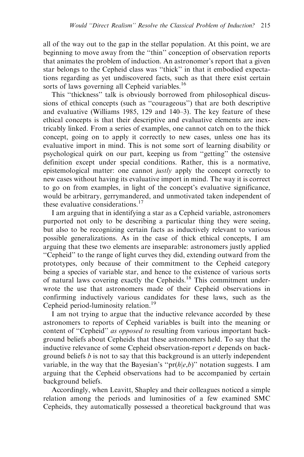all of the way out to the gap in the stellar population. At this point, we are beginning to move away from the ''thin'' conception of observation reports that animates the problem of induction. An astronomer's report that a given star belongs to the Cepheid class was ''thick'' in that it embodied expectations regarding as yet undiscovered facts, such as that there exist certain sorts of laws governing all Cepheid variables.<sup>16</sup>

This ''thickness'' talk is obviously borrowed from philosophical discussions of ethical concepts (such as ''courageous'') that are both descriptive and evaluative (Williams 1985, 129 and 140–3). The key feature of these ethical concepts is that their descriptive and evaluative elements are inextricably linked. From a series of examples, one cannot catch on to the thick concept, going on to apply it correctly to new cases, unless one has its evaluative import in mind. This is not some sort of learning disability or psychological quirk on our part, keeping us from ''getting'' the ostensive definition except under special conditions. Rather, this is a normative, epistemological matter: one cannot justly apply the concept correctly to new cases without having its evaluative import in mind. The way it is correct to go on from examples, in light of the concept's evaluative significance, would be arbitrary, gerrymandered, and unmotivated taken independent of these evaluative considerations.<sup>17</sup>

I am arguing that in identifying a star as a Cepheid variable, astronomers purported not only to be describing a particular thing they were seeing, but also to be recognizing certain facts as inductively relevant to various possible generalizations. As in the case of thick ethical concepts, I am arguing that these two elements are inseparable: astronomers justly applied ''Cepheid'' to the range of light curves they did, extending outward from the prototypes, only because of their commitment to the Cepheid category being a species of variable star, and hence to the existence of various sorts of natural laws covering exactly the Cepheids.<sup>18</sup> This commitment underwrote the use that astronomers made of their Cepheid observations in confirming inductively various candidates for these laws, such as the Cepheid period-luminosity relation.<sup>19</sup>

I am not trying to argue that the inductive relevance accorded by these astronomers to reports of Cepheid variables is built into the meaning or content of "Cepheid" as opposed to resulting from various important background beliefs about Cepheids that these astronomers held. To say that the inductive relevance of some Cepheid observation-report e depends on background beliefs  $b$  is not to say that this background is an utterly independent variable, in the way that the Bayesian's " $pr(h|e,b)$ " notation suggests. I am arguing that the Cepheid observations had to be accompanied by certain background beliefs.

Accordingly, when Leavitt, Shapley and their colleagues noticed a simple relation among the periods and luminosities of a few examined SMC Cepheids, they automatically possessed a theoretical background that was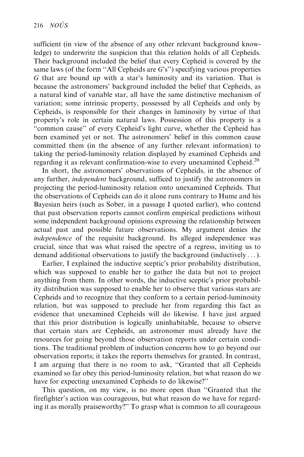sufficient (in view of the absence of any other relevant background knowledge) to underwrite the suspicion that this relation holds of all Cepheids. Their background included the belief that every Cepheid is covered by the same laws (of the form "All Cepheids are  $G$ 's") specifying various properties G that are bound up with a star's luminosity and its variation. That is because the astronomers' background included the belief that Cepheids, as a natural kind of variable star, all have the same distinctive mechanism of variation; some intrinsic property, possessed by all Cepheids and only by Cepheids, is responsible for their changes in luminosity by virtue of that property's role in certain natural laws. Possession of this property is a ''common cause'' of every Cepheid's light curve, whether the Cepheid has been examined yet or not. The astronomers' belief in this common cause committed them (in the absence of any further relevant information) to taking the period-luminosity relation displayed by examined Cepheids and regarding it as relevant confirmation-wise to every unexamined Cepheid.<sup>20</sup>

In short, the astronomers' observations of Cepheids, in the absence of any further, independent background, sufficed to justify the astronomers in projecting the period-luminosity relation onto unexamined Cepheids. That the observations of Cepheids can do it alone runs contrary to Hume and his Bayesian heirs (such as Sober, in a passage I quoted earlier), who contend that past observation reports cannot confirm empirical predictions without some independent background opinions expressing the relationship between actual past and possible future observations. My argument denies the independence of the requisite background. Its alleged independence was crucial, since that was what raised the spectre of a regress, inviting us to demand additional observations to justify the background (inductively ... ).

Earlier, I explained the inductive sceptic's prior probability distribution, which was supposed to enable her to gather the data but not to project anything from them. In other words, the inductive sceptic's prior probability distribution was supposed to enable her to observe that various stars are Cepheids and to recognize that they conform to a certain period-luminosity relation, but was supposed to preclude her from regarding this fact as evidence that unexamined Cepheids will do likewise. I have just argued that this prior distribution is logically uninhabitable, because to observe that certain stars are Cepheids, an astronomer must already have the resources for going beyond those observation reports under certain conditions. The traditional problem of induction concerns how to go beyond our observation reports; it takes the reports themselves for granted. In contrast, I am arguing that there is no room to ask, ''Granted that all Cepheids examined so far obey this period-luminosity relation, but what reason do we have for expecting unexamined Cepheids to do likewise?''

This question, on my view, is no more open than ''Granted that the firefighter's action was courageous, but what reason do we have for regarding it as morally praiseworthy?'' To grasp what is common to all courageous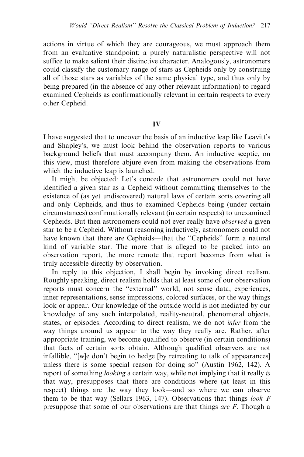actions in virtue of which they are courageous, we must approach them from an evaluative standpoint; a purely naturalistic perspective will not suffice to make salient their distinctive character. Analogously, astronomers could classify the customary range of stars as Cepheids only by construing all of those stars as variables of the same physical type, and thus only by being prepared (in the absence of any other relevant information) to regard examined Cepheids as confirmationally relevant in certain respects to every other Cepheid.

#### IV

I have suggested that to uncover the basis of an inductive leap like Leavitt's and Shapley's, we must look behind the observation reports to various background beliefs that must accompany them. An inductive sceptic, on this view, must therefore abjure even from making the observations from which the inductive leap is launched.

It might be objected: Let's concede that astronomers could not have identified a given star as a Cepheid without committing themselves to the existence of (as yet undiscovered) natural laws of certain sorts covering all and only Cepheids, and thus to examined Cepheids being (under certain circumstances) confirmationally relevant (in certain respects) to unexamined Cepheids. But then astronomers could not ever really have observed a given star to be a Cepheid. Without reasoning inductively, astronomers could not have known that there are Cepheids—that the ''Cepheids'' form a natural kind of variable star. The more that is alleged to be packed into an observation report, the more remote that report becomes from what is truly accessible directly by observation.

In reply to this objection, I shall begin by invoking direct realism. Roughly speaking, direct realism holds that at least some of our observation reports must concern the ''external'' world, not sense data, experiences, inner representations, sense impressions, colored surfaces, or the way things look or appear. Our knowledge of the outside world is not mediated by our knowledge of any such interpolated, reality-neutral, phenomenal objects, states, or episodes. According to direct realism, we do not infer from the way things around us appear to the way they really are. Rather, after appropriate training, we become qualified to observe (in certain conditions) that facts of certain sorts obtain. Although qualified observers are not infallible, ''[w]e don't begin to hedge [by retreating to talk of appearances] unless there is some special reason for doing so'' (Austin 1962, 142). A report of something looking a certain way, while not implying that it really is that way, presupposes that there are conditions where (at least in this respect) things are the way they look—and so where we can observe them to be that way (Sellars 1963, 147). Observations that things look F presuppose that some of our observations are that things are F. Though a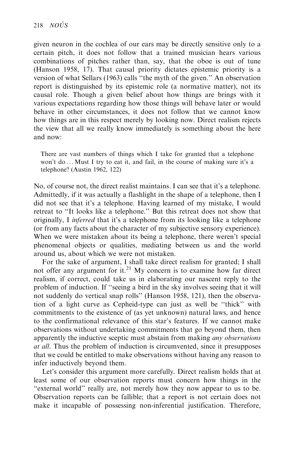given neuron in the cochlea of our ears may be directly sensitive only to a certain pitch, it does not follow that a trained musician hears various combinations of pitches rather than, say, that the oboe is out of tune (Hanson 1958, 17). That causal priority dictates epistemic priority is a version of what Sellars (1963) calls ''the myth of the given.'' An observation report is distinguished by its epistemic role (a normative matter), not its causal role. Though a given belief about how things are brings with it various expectations regarding how those things will behave later or would behave in other circumstances, it does not follow that we cannot know how things are in this respect merely by looking now. Direct realism rejects the view that all we really know immediately is something about the here and now:

There are vast numbers of things which I take for granted that a telephone won't do ... Must I try to eat it, and fail, in the course of making sure it's a telephone? (Austin 1962, 122)

No, of course not, the direct realist maintains. I can see that it's a telephone. Admittedly, if it was actually a flashlight in the shape of a telephone, then I did not see that it's a telephone. Having learned of my mistake, I would retreat to ''It looks like a telephone.'' But this retreat does not show that originally, I inferred that it's a telephone from its looking like a telephone (or from any facts about the character of my subjective sensory experience). When we were mistaken about its being a telephone, there weren't special phenomenal objects or qualities, mediating between us and the world around us, about which we were not mistaken.

For the sake of argument, I shall take direct realism for granted; I shall not offer any argument for it.<sup>21</sup> My concern is to examine how far direct realism, if correct, could take us in elaborating our nascent reply to the problem of induction. If ''seeing a bird in the sky involves seeing that it will not suddenly do vertical snap rolls'' (Hanson 1958, 121), then the observation of a light curve as Cepheid-type can just as well be ''thick'' with commitments to the existence of (as yet unknown) natural laws, and hence to the confirmational relevance of this star's features. If we cannot make observations without undertaking commitments that go beyond them, then apparently the inductive sceptic must abstain from making any observations at all. Thus the problem of induction is circumvented, since it presupposes that we could be entitled to make observations without having any reason to infer inductively beyond them.

Let's consider this argument more carefully. Direct realism holds that at least some of our observation reports must concern how things in the ''external world'' really are, not merely how they now appear to us to be. Observation reports can be fallible; that a report is not certain does not make it incapable of possessing non-inferential justification. Therefore,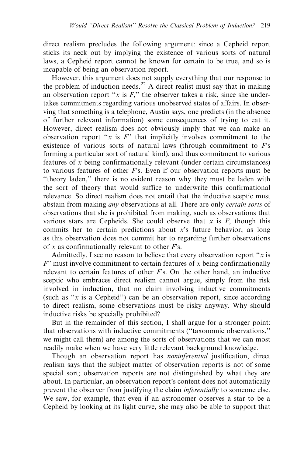direct realism precludes the following argument: since a Cepheid report sticks its neck out by implying the existence of various sorts of natural laws, a Cepheid report cannot be known for certain to be true, and so is incapable of being an observation report.

However, this argument does not supply everything that our response to the problem of induction needs.<sup>22</sup> A direct realist must say that in making an observation report " $x$  is  $F$ ," the observer takes a risk, since she undertakes commitments regarding various unobserved states of affairs. In observing that something is a telephone, Austin says, one predicts (in the absence of further relevant information) some consequences of trying to eat it. However, direct realism does not obviously imply that we can make an observation report " $x$  is  $F$ " that implicitly involves commitment to the existence of various sorts of natural laws (through commitment to  $Fs$ forming a particular sort of natural kind), and thus commitment to various features of x being confirmationally relevant (under certain circumstances) to various features of other  $F$ s. Even if our observation reports must be ''theory laden,'' there is no evident reason why they must be laden with the sort of theory that would suffice to underwrite this confirmational relevance. So direct realism does not entail that the inductive sceptic must abstain from making *any* observations at all. There are only *certain sorts* of observations that she is prohibited from making, such as observations that various stars are Cepheids. She could observe that x is  $F$ , though this commits her to certain predictions about  $x$ 's future behavior, as long as this observation does not commit her to regarding further observations of x as confirmationally relevant to other  $F$ s.

Admittedly, I see no reason to believe that every observation report " $x$  is  $F'$  must involve commitment to certain features of x being confirmationally relevant to certain features of other  $F$ s. On the other hand, an inductive sceptic who embraces direct realism cannot argue, simply from the risk involved in induction, that no claim involving inductive commitments (such as " $x$  is a Cepheid") can be an observation report, since according to direct realism, some observations must be risky anyway. Why should inductive risks be specially prohibited?

But in the remainder of this section, I shall argue for a stronger point: that observations with inductive commitments (''taxonomic observations,'' we might call them) are among the sorts of observations that we can most readily make when we have very little relevant background knowledge.

Though an observation report has noninferential justification, direct realism says that the subject matter of observation reports is not of some special sort; observation reports are not distinguished by what they are about. In particular, an observation report's content does not automatically prevent the observer from justifying the claim inferentially to someone else. We saw, for example, that even if an astronomer observes a star to be a Cepheid by looking at its light curve, she may also be able to support that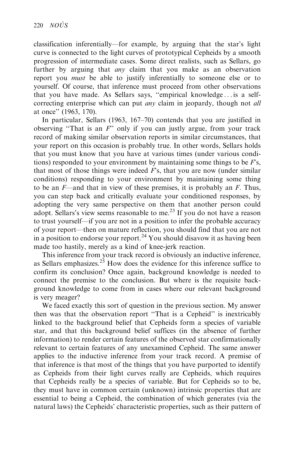classification inferentially—for example, by arguing that the star's light curve is connected to the light curves of prototypical Cepheids by a smooth progression of intermediate cases. Some direct realists, such as Sellars, go further by arguing that *any* claim that you make as an observation report you must be able to justify inferentially to someone else or to yourself. Of course, that inference must proceed from other observations that you have made. As Sellars says, ''empirical knowledge ... is a selfcorrecting enterprise which can put *any* claim in jeopardy, though not *all* at once'' (1963, 170).

In particular, Sellars (1963, 167–70) contends that you are justified in observing "That is an  $F$ " only if you can justly argue, from your track record of making similar observation reports in similar circumstances, that your report on this occasion is probably true. In other words, Sellars holds that you must know that you have at various times (under various conditions) responded to your environment by maintaining some things to be  $Fs$ , that most of those things were indeed  $F$ s, that you are now (under similar conditions) responding to your environment by maintaining some thing to be an F—and that in view of these premises, it is probably an F. Thus, you can step back and critically evaluate your conditioned responses, by adopting the very same perspective on them that another person could adopt. Sellars's view seems reasonable to me.<sup>23</sup> If you do not have a reason to trust yourself—if you are not in a position to infer the probable accuracy of your report—then on mature reflection, you should find that you are not in a position to endorse your report.<sup>24</sup> You should disavow it as having been made too hastily, merely as a kind of knee-jerk reaction.

This inference from your track record is obviously an inductive inference, as Sellars emphasizes.<sup>25</sup> How does the evidence for this inference suffice to confirm its conclusion? Once again, background knowledge is needed to connect the premise to the conclusion. But where is the requisite background knowledge to come from in cases where our relevant background is very meager?

We faced exactly this sort of question in the previous section. My answer then was that the observation report ''That is a Cepheid'' is inextricably linked to the background belief that Cepheids form a species of variable star, and that this background belief suffices (in the absence of further information) to render certain features of the observed star confirmationally relevant to certain features of any unexamined Cepheid. The same answer applies to the inductive inference from your track record. A premise of that inference is that most of the things that you have purported to identify as Cepheids from their light curves really are Cepheids, which requires that Cepheids really be a species of variable. But for Cepheids so to be, they must have in common certain (unknown) intrinsic properties that are essential to being a Cepheid, the combination of which generates (via the natural laws) the Cepheids' characteristic properties, such as their pattern of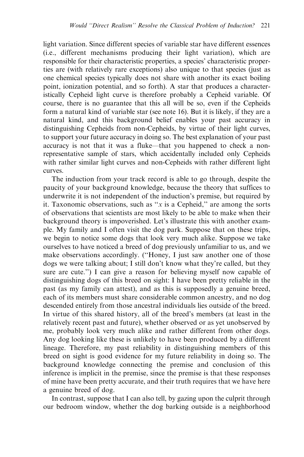light variation. Since different species of variable star have different essences (i.e., different mechanisms producing their light variation), which are responsible for their characteristic properties, a species' characteristic properties are (with relatively rare exceptions) also unique to that species (just as one chemical species typically does not share with another its exact boiling point, ionization potential, and so forth). A star that produces a characteristically Cepheid light curve is therefore probably a Cepheid variable. Of course, there is no guarantee that this all will be so, even if the Cepheids form a natural kind of variable star (see note 16). But it is likely, if they are a natural kind, and this background belief enables your past accuracy in distinguishing Cepheids from non-Cepheids, by virtue of their light curves, to support your future accuracy in doing so. The best explanation of your past accuracy is not that it was a fluke—that you happened to check a nonrepresentative sample of stars, which accidentally included only Cepheids with rather similar light curves and non-Cepheids with rather different light curves.

The induction from your track record is able to go through, despite the paucity of your background knowledge, because the theory that suffices to underwrite it is not independent of the induction's premise, but required by it. Taxonomic observations, such as " $x$  is a Cepheid," are among the sorts of observations that scientists are most likely to be able to make when their background theory is impoverished. Let's illustrate this with another example. My family and I often visit the dog park. Suppose that on these trips, we begin to notice some dogs that look very much alike. Suppose we take ourselves to have noticed a breed of dog previously unfamiliar to us, and we make observations accordingly. (''Honey, I just saw another one of those dogs we were talking about; I still don't know what they're called, but they sure are cute.'') I can give a reason for believing myself now capable of distinguishing dogs of this breed on sight: I have been pretty reliable in the past (as my family can attest), and as this is supposedly a genuine breed, each of its members must share considerable common ancestry, and no dog descended entirely from those ancestral individuals lies outside of the breed. In virtue of this shared history, all of the breed's members (at least in the relatively recent past and future), whether observed or as yet unobserved by me, probably look very much alike and rather different from other dogs. Any dog looking like these is unlikely to have been produced by a different lineage. Therefore, my past reliability in distinguishing members of this breed on sight is good evidence for my future reliability in doing so. The background knowledge connecting the premise and conclusion of this inference is implicit in the premise, since the premise is that these responses of mine have been pretty accurate, and their truth requires that we have here a genuine breed of dog.

In contrast, suppose that I can also tell, by gazing upon the culprit through our bedroom window, whether the dog barking outside is a neighborhood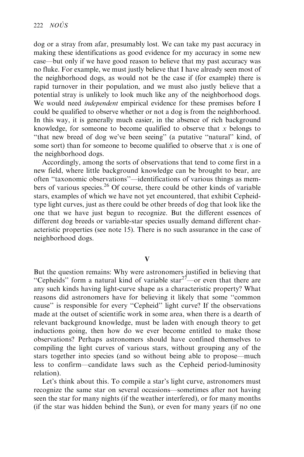dog or a stray from afar, presumably lost. We can take my past accuracy in making these identifications as good evidence for my accuracy in some new case—but only if we have good reason to believe that my past accuracy was no fluke. For example, we must justly believe that I have already seen most of the neighborhood dogs, as would not be the case if (for example) there is rapid turnover in their population, and we must also justly believe that a potential stray is unlikely to look much like any of the neighborhood dogs. We would need *independent* empirical evidence for these premises before I could be qualified to observe whether or not a dog is from the neighborhood. In this way, it is generally much easier, in the absence of rich background knowledge, for someone to become qualified to observe that  $x$  belongs to "that new breed of dog we've been seeing" (a putative "natural" kind, of some sort) than for someone to become qualified to observe that  $x$  is one of the neighborhood dogs.

Accordingly, among the sorts of observations that tend to come first in a new field, where little background knowledge can be brought to bear, are often ''taxonomic observations''—identifications of various things as members of various species.<sup>26</sup> Of course, there could be other kinds of variable stars, examples of which we have not yet encountered, that exhibit Cepheidtype light curves, just as there could be other breeds of dog that look like the one that we have just begun to recognize. But the different essences of different dog breeds or variable-star species usually demand different characteristic properties (see note 15). There is no such assurance in the case of neighborhood dogs.

#### V

But the question remains: Why were astronomers justified in believing that "Cepheids" form a natural kind of variable star<sup>27</sup>—or even that there are any such kinds having light-curve shape as a characteristic property? What reasons did astronomers have for believing it likely that some ''common cause'' is responsible for every ''Cepheid'' light curve? If the observations made at the outset of scientific work in some area, when there is a dearth of relevant background knowledge, must be laden with enough theory to get inductions going, then how do we ever become entitled to make those observations? Perhaps astronomers should have confined themselves to compiling the light curves of various stars, without grouping any of the stars together into species (and so without being able to propose—much less to confirm—candidate laws such as the Cepheid period-luminosity relation).

Let's think about this. To compile a star's light curve, astronomers must recognize the same star on several occasions—sometimes after not having seen the star for many nights (if the weather interfered), or for many months (if the star was hidden behind the Sun), or even for many years (if no one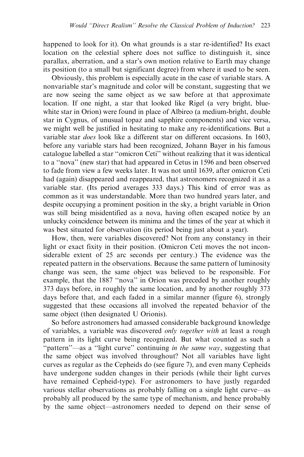happened to look for it). On what grounds is a star re-identified? Its exact location on the celestial sphere does not suffice to distinguish it, since parallax, aberration, and a star's own motion relative to Earth may change its position (to a small but significant degree) from where it used to be seen.

Obviously, this problem is especially acute in the case of variable stars. A nonvariable star's magnitude and color will be constant, suggesting that we are now seeing the same object as we saw before at that approximate location. If one night, a star that looked like Rigel (a very bright, bluewhite star in Orion) were found in place of Albireo (a medium-bright, double star in Cygnus, of unusual topaz and sapphire components) and vice versa, we might well be justified in hesitating to make any re-identifications. But a variable star does look like a different star on different occasions. In 1603, before any variable stars had been recognized, Johann Bayer in his famous catalogue labelled a star ''omicron Ceti'' without realizing that it was identical to a ''nova'' (new star) that had appeared in Cetus in 1596 and been observed to fade from view a few weeks later. It was not until 1639, after omicron Ceti had (again) disappeared and reappeared, that astronomers recognized it as a variable star. (Its period averages 333 days.) This kind of error was as common as it was understandable. More than two hundred years later, and despite occupying a prominent position in the sky, a bright variable in Orion was still being misidentified as a nova, having often escaped notice by an unlucky coincidence between its minima and the times of the year at which it was best situated for observation (its period being just about a year).

How, then, were variables discovered? Not from any constancy in their light or exact fixity in their position. (Omicron Ceti moves the not inconsiderable extent of 25 arc seconds per century.) The evidence was the repeated pattern in the observations. Because the same pattern of luminosity change was seen, the same object was believed to be responsible. For example, that the 1887 ''nova'' in Orion was preceded by another roughly 373 days before, in roughly the same location, and by another roughly 373 days before that, and each faded in a similar manner (figure 6), strongly suggested that these occasions all involved the repeated behavior of the same object (then designated U Orionis).

So before astronomers had amassed considerable background knowledge of variables, a variable was discovered only together with at least a rough pattern in its light curve being recognized. But what counted as such a "pattern"—as a "light curve" continuing *in the same way*, suggesting that the same object was involved throughout? Not all variables have light curves as regular as the Cepheids do (see figure 7), and even many Cepheids have undergone sudden changes in their periods (while their light curves have remained Cepheid-type). For astronomers to have justly regarded various stellar observations as probably falling on a single light curve—as probably all produced by the same type of mechanism, and hence probably by the same object—astronomers needed to depend on their sense of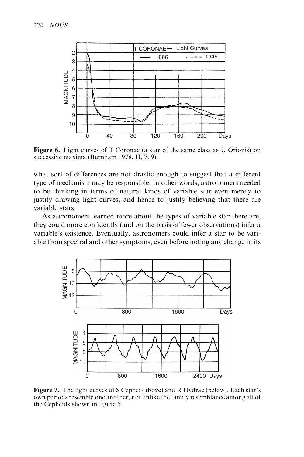

Figure 6. Light curves of T Coronae (a star of the same class as U Orionis) on successive maxima (Burnham 1978, II, 709).

what sort of differences are not drastic enough to suggest that a different type of mechanism may be responsible. In other words, astronomers needed to be thinking in terms of natural kinds of variable star even merely to justify drawing light curves, and hence to justify believing that there are variable stars.

As astronomers learned more about the types of variable star there are, they could more confidently (and on the basis of fewer observations) infer a variable's existence. Eventually, astronomers could infer a star to be variable from spectral and other symptoms, even before noting any change in its



Figure 7. The light curves of S Cephei (above) and R Hydrae (below). Each star's own periods resemble one another, not unlike the family resemblance among all of the Cepheids shown in figure 5.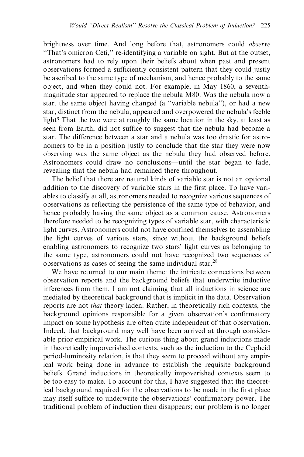brightness over time. And long before that, astronomers could observe "That's omicron Ceti," re-identifying a variable on sight. But at the outset, astronomers had to rely upon their beliefs about when past and present observations formed a sufficiently consistent pattern that they could justly be ascribed to the same type of mechanism, and hence probably to the same object, and when they could not. For example, in May 1860, a seventhmagnitude star appeared to replace the nebula M80. Was the nebula now a star, the same object having changed (a ''variable nebula''), or had a new star, distinct from the nebula, appeared and overpowered the nebula's feeble light? That the two were at roughly the same location in the sky, at least as seen from Earth, did not suffice to suggest that the nebula had become a star. The difference between a star and a nebula was too drastic for astronomers to be in a position justly to conclude that the star they were now observing was the same object as the nebula they had observed before. Astronomers could draw no conclusions—until the star began to fade, revealing that the nebula had remained there throughout.

The belief that there are natural kinds of variable star is not an optional addition to the discovery of variable stars in the first place. To have variables to classify at all, astronomers needed to recognize various sequences of observations as reflecting the persistence of the same type of behavior, and hence probably having the same object as a common cause. Astronomers therefore needed to be recognizing types of variable star, with characteristic light curves. Astronomers could not have confined themselves to assembling the light curves of various stars, since without the background beliefs enabling astronomers to recognize two stars' light curves as belonging to the same type, astronomers could not have recognized two sequences of observations as cases of seeing the same individual star.<sup>28</sup>

We have returned to our main theme: the intricate connections between observation reports and the background beliefs that underwrite inductive inferences from them. I am not claiming that all inductions in science are mediated by theoretical background that is implicit in the data. Observation reports are not *that* theory laden. Rather, in theoretically rich contexts, the background opinions responsible for a given observation's confirmatory impact on some hypothesis are often quite independent of that observation. Indeed, that background may well have been arrived at through considerable prior empirical work. The curious thing about grand inductions made in theoretically impoverished contexts, such as the induction to the Cepheid period-luminosity relation, is that they seem to proceed without any empirical work being done in advance to establish the requisite background beliefs. Grand inductions in theoretically impoverished contexts seem to be too easy to make. To account for this, I have suggested that the theoretical background required for the observations to be made in the first place may itself suffice to underwrite the observations' confirmatory power. The traditional problem of induction then disappears; our problem is no longer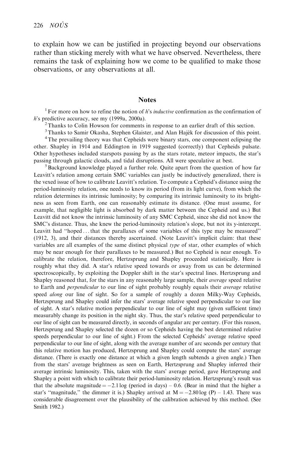to explain how we can be justified in projecting beyond our observations rather than sticking merely with what we have observed. Nevertheless, there remains the task of explaining how we come to be qualified to make those observations, or any observations at all.

#### **Notes**

<sup>1</sup> For more on how to refine the notion of  $h$ 's *inductive* confirmation as the confirmation of h's predictive accuracy, see my (1999a, 2000a).<br><sup>2</sup>Thanks to Colin Howson for comments in response to an earlier draft of this section.

 $3$ Thanks to Samir Okasha, Stephen Glaister, and Alan Hajék for discussion of this point.  $4$ The prevailing theory was that Cepheids were binary stars, one component eclipsing the

other. Shapley in 1914 and Eddington in 1919 suggested (correctly) that Cepheids pulsate. Other hypotheses included starspots passing by as the stars rotate, meteor impacts, the star's passing through galactic clouds, and tidal disruptions. All were speculative at best.<br><sup>5</sup>Background knowledge played a further role. Quite apart from the question of how far

Leavitt's relation among certain SMC variables can justly be inductively generalized, there is the vexed issue of how to calibrate Leavitt's relation. To compute a Cepheid's distance using the period-luminosity relation, one needs to know its period (from its light curve), from which the relation determines its intrinsic luminosity; by comparing its intrinsic luminosity to its brightness as seen from Earth, one can reasonably estimate its distance. (One must assume, for example, that negligible light is absorbed by dark matter between the Cepheid and us.) But Leavitt did not know the intrinsic luminosity of any SMC Cepheid, since she did not know the SMC's distance. Thus, she knew the period-luminosity relation's slope, but not its y-intercept. Leavitt had ''hoped ...that the parallaxes of some variables of this type may be measured'' (1912, 3), and their distances thereby ascertained. (Note Leavitt's implicit claim: that these variables are all examples of the same distinct physical type of star, other examples of which may be near enough for their parallaxes to be measured.) But no Cepheid is near enough. To calibrate the relation, therefore, Hertzsprung and Shapley proceeded statistically. Here is roughly what they did. A star's relative speed towards or away from us can be determined spectroscopically, by exploiting the Doppler shift in the star's spectral lines. Hertzsprung and Shapley reasoned that, for the stars in any reasonably large sample, their average speed relative to Earth and perpendicular to our line of sight probably roughly equals their average relative speed along our line of sight. So for a sample of roughly a dozen Milky-Way Cepheids, Hertzsprung and Shapley could infer the stars' average relative speed perpendicular to our line of sight. A star's relative motion perpendicular to our line of sight may (given sufficient time) measurably change its position in the night sky. Thus, the star's relative speed perpendicular to our line of sight can be measured directly, in seconds of angular arc per century. (For this reason, Hertzsprung and Shapley selected the dozen or so Cepheids having the best determined relative speeds perpendicular to our line of sight.) From the selected Cepheids' average relative speed perpendicular to our line of sight, along with the average number of arc seconds per century that this relative motion has produced, Hertzsprung and Shapley could compute the stars' average distance. (There is exactly one distance at which a given length subtends a given angle.) Then from the stars' average brightness as seen on Earth, Hertzsprung and Shapley inferred their average intrinsic luminosity. This, taken with the stars' average period, gave Hertzsprung and Shapley a point with which to calibrate their period-luminosity relation. Hertzsprung's result was that the absolute magnitude  $=$  -2.1 log (period in days) – 0.6. (Bear in mind that the higher a star's "magnitude," the dimmer it is.) Shapley arrived at  $M = -2.80 \log(P) - 1.43$ . There was considerable disagreement over the plausibility of the calibration achieved by this method. (See Smith 1982.)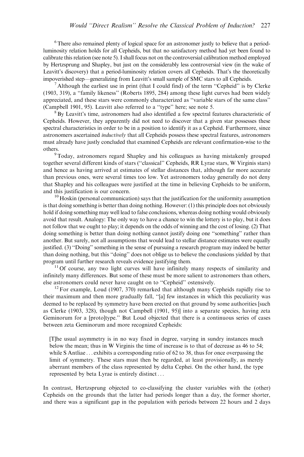<sup>6</sup>There also remained plenty of logical space for an astronomer justly to believe that a periodluminosity relation holds for all Cepheids, but that no satisfactory method had yet been found to calibrate this relation (see note 5). I shall focus not on the controversial calibration method employed by Hertzsprung and Shapley, but just on the considerably less controversial view (in the wake of Leavitt's discovery) that a period-luminosity relation covers all Cepheids. That's the theoretically impoverished step—generalizing from Leavitt's small sample of SMC stars to all Cepheids. <sup>7</sup> Although the earliest use in print (that I could find) of the term ''Cepheid'' is by Clerke

(1903, 319), a ''family likeness'' (Roberts 1895, 284) among these light curves had been widely appreciated, and these stars were commonly characterized as ''variable stars of the same class'' (Campbell 1901, 95). Leavitt also referred to a ''type'' here; see note 5. 8By Leavitt's time, astronomers had also identified a few spectral features characteristic of

Cepheids. However, they apparently did not need to discover that a given star possesses these spectral characteristics in order to be in a position to identify it as a Cepheid. Furthermore, since astronomers ascertained inductively that all Cepheids possess these spectral features, astronomers must already have justly concluded that examined Cepheids are relevant confirmation-wise to the others.<br><sup>9</sup>Today, astronomers regard Shapley and his colleagues as having mistakenly grouped

together several different kinds of stars (''classical'' Cepheids, RR Lyrae stars, W Virginis stars) and hence as having arrived at estimates of stellar distances that, although far more accurate than previous ones, were several times too low. Yet astronomers today generally do not deny that Shapley and his colleagues were justified at the time in believing Cepheids to be uniform, and this justification is our concern.<br> $10$  Hoskin (personal communication) says that the justification for the uniformity assumption

is that doing something is better than doing nothing. However: (1) this principle does not obviously hold if doing something may well lead to false conclusions, whereas doing nothing would obviously avoid that result. Analogy: The only way to have a chance to win the lottery is to play, but it does not follow that we ought to play; it depends on the odds of winning and the cost of losing. (2) That doing something is better than doing nothing cannot justify doing one ''something'' rather than another. But surely, not all assumptions that would lead to stellar distance estimates were equally justified. (3) ''Doing'' something in the sense of pursuing a research program may indeed be better than doing nothing, but this ''doing'' does not oblige us to believe the conclusions yielded by that program until further research reveals evidence justifying them.<br><sup>11</sup> Of course, any two light curves will have infinitely many respects of similarity and

infinitely many differences. But some of these must be more salient to astronomers than others, else astronomers could never have caught on to "Cepheid" ostensively.<br><sup>12</sup>For example, Loud (1907, 370) remarked that although many Cepheids rapidly rise to

their maximum and then more gradually fall, ''[a] few instances in which this peculiarity was deemed to be replaced by symmetry have been erected on that ground by some authorities [such as Clerke (1903, 328), though not Campbell (1901, 95)] into a separate species, having zeta Geminorum for a [proto]type.'' But Loud objected that there is a continuous series of cases between zeta Geminorum and more recognized Cepheids:

[T]he usual asymmetry is in no way fixed in degree, varying in sundry instances much below the mean; thus in W Virginis the time of increase is to that of decrease as 46 to 54; while S Antliae ... exhibits a corresponding ratio of 62 to 38, thus for once overpassing the limit of symmetry. These stars must then be regarded, at least provisionally, as merely aberrant members of the class represented by delta Cephei. On the other hand, the type represented by beta Lyrae is entirely distinct...

In contrast, Hertzsprung objected to co-classifying the cluster variables with the (other) Cepheids on the grounds that the latter had periods longer than a day, the former shorter, and there was a significant gap in the population with periods between 22 hours and 2 days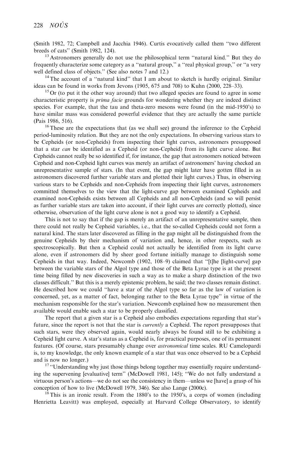(Smith 1982, 72; Campbell and Jacchia 1946). Curtis evocatively called them ''two different breeds of cats'' (Smith 1982, 124).<br><sup>13</sup>Astronomers generally do not use the philosophical term "natural kind." But they do

frequently characterize some category as a ''natural group,'' a ''real physical group,'' or ''a very well defined class of objects." (See also notes 7 and 12.)<br><sup>14</sup>The account of a "natural kind" that I am about to sketch is hardly original. Similar

ideas can be found in works from Jevons (1905, 675 and 708) to Kuhn (2000, 228–33). <sup>15</sup> Or (to put it the other way around) that two alleged species are found to agree in some

characteristic property is prima facie grounds for wondering whether they are indeed distinct species. For example, that the tau and theta-zero mesons were found (in the mid-1950's) to have similar mass was considered powerful evidence that they are actually the same particle (Pais 1986, 516). <sup>16</sup>These are the expectations that (as we shall see) ground the inference to the Cepheid

period-luminosity relation. But they are not the only expectations. In observing various stars to be Cepheids (or non-Cepheids) from inspecting their light curves, astronomers presupposed that a star can be identified as a Cepheid (or non-Cepheid) from its light curve alone. But Cepheids cannot really be so identified if, for instance, the gap that astronomers noticed between Cepheid and non-Cepheid light curves was merely an artifact of astronomers' having checked an unrepresentative sample of stars. (In that event, the gap might later have gotten filled in as astronomers discovered further variable stars and plotted their light curves.) Thus, in observing various stars to be Cepheids and non-Cepheids from inspecting their light curves, astronomers committed themselves to the view that the light-curve gap between examined Cepheids and examined non-Cepheids exists between all Cepheids and all non-Cepheids (and so will persist as further variable stars are taken into account, if their light curves are correctly plotted), since otherwise, observation of the light curve alone is not a good way to identify a Cepheid.

This is not to say that if the gap is merely an artifact of an unrepresentative sample, then there could not really be Cepheid variables, i.e., that the so-called Cepheids could not form a natural kind. The stars later discovered as filling in the gap might all be distinguished from the genuine Cepheids by their mechanism of variation and, hence, in other respects, such as spectroscopically. But then a Cepheid could not actually be identified from its light curve alone, even if astronomers did by sheer good fortune initially manage to distinguish some Cepheids in that way. Indeed, Newcomb (1902, 108–9) claimed that ''[t]he [light-curve] gap between the variable stars of the Algol type and those of the Beta Lyrae type is at the present time being filled by new discoveries in such a way as to make a sharp distinction of the two classes difficult.'' But this is a merely epistemic problem, he said; the two classes remain distinct. He described how we could ''have a star of the Algol type so far as the law of variation is concerned, yet, as a matter of fact, belonging rather to the Beta Lyrae type'' in virtue of the mechanism responsible for the star's variation. Newcomb explained how no measurement then available would enable such a star to be properly classified.

The report that a given star is a Cepheid also embodies expectations regarding that star's future, since the report is not that the star is *currently* a Cepheid. The report presupposes that such stars, were they observed again, would nearly always be found still to be exhibiting a Cepheid light curve. A star's status as a Cepheid is, for practical purposes, one of its permanent features. (Of course, stars presumably change over astronomical time scales. RU Camelopardi is, to my knowledge, the only known example of a star that was once observed to be a Cepheid and is now no longer.)<br> $17$  "Understanding why just those things belong together may essentially require understand-

ing the supervening [evaluative] term'' (McDowell 1981, 145); ''We do not fully understand a virtuous person's actions—we do not see the consistency in them—unless we [have] a grasp of his conception of how to live (McDowell 1979, 346). See also Lange (2000c). <sup>18</sup>This is an ironic result. From the 1880's to the 1950's, a corps of women (including

Henrietta Leavitt) was employed, especially at Harvard College Observatory, to identify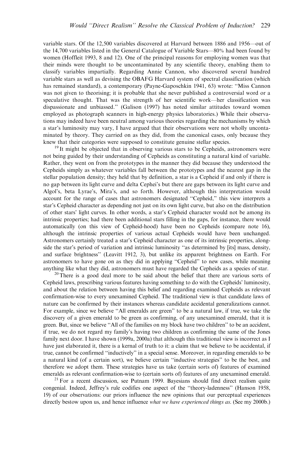variable stars. Of the 12,500 variables discovered at Harvard between 1886 and 1956—out of the 14,700 variables listed in the General Catalogue of Variable Stars—80*%* had been found by women (Hoffleit 1993, 8 and 12). One of the principal reasons for employing women was that their minds were thought to be uncontaminated by any scientific theory, enabling them to classify variables impartially. Regarding Annie Cannon, who discovered several hundred variable stars as well as devising the OBAFG Harvard system of spectral classification (which has remained standard), a contemporary (Payne-Gaposchkin 1941, 63) wrote: ''Miss Cannon was not given to theorising; it is probable that she never published a controversial word or a speculative thought. That was the strength of her scientific work—her classification was dispassionate and unbiassed.'' (Galison (1997) has noted similar attitudes toward women employed as photograph scanners in high-energy physics laboratories.) While their observations may indeed have been neutral among various theories regarding the mechanisms by which a star's luminosity may vary, I have argued that their observations were not wholly uncontaminated by theory. They carried on as they did, from the canonical cases, only because they knew that their categories were supposed to constitute genuine stellar species.

 $19$  It might be objected that in observing various stars to be Cepheids, astronomers were not being guided by their understanding of Cepheids as constituting a natural kind of variable. Rather, they went on from the prototypes in the manner they did because they understood the Cepheids simply as whatever variables fall between the prototypes and the nearest gap in the stellar population density; they held that by definition, a star is a Cepheid if and only if there is no gap between its light curve and delta Cephei's but there are gaps between its light curve and Algol's, beta Lyrae's, Mira's, and so forth. However, although this interpretation would account for the range of cases that astronomers designated ''Cepheid,'' this view interprets a star's Cepheid character as depending not just on its own light curve, but also on the distribution of other stars' light curves. In other words, a star's Cepheid character would not be among its intrinsic properties; had there been additional stars filling in the gaps, for instance, there would automatically (on this view of Cepheid-hood) have been no Cepheids (compare note 16), although the intrinsic properties of various actual Cepheids would have been unchanged. Astronomers certainly treated a star's Cepheid character as one of its intrinsic properties, alongside the star's period of variation and intrinsic luminosity ''as determined by [its] mass, density, and surface brightness'' (Leavitt 1912, 3), but unlike its apparent brightness on Earth. For astronomers to have gone on as they did in applying ''Cepheid'' to new cases, while meaning anything like what they did, astronomers must have regarded the Cepheids as a species of star.<br><sup>20</sup>There is a good deal more to be said about the belief that there are various sorts of

Cepheid laws, prescribing various features having something to do with the Cepheids' luminosity, and about the relation between having this belief and regarding examined Cepheids as relevant confirmation-wise to every unexamined Cepheid. The traditional view is that candidate laws of nature can be confirmed by their instances whereas candidate accidental generalizations cannot. For example, since we believe ''All emeralds are green'' to be a natural law, if true, we take the discovery of a given emerald to be green as confirming, of any unexamined emerald, that it is green. But, since we believe ''All of the families on my block have two children'' to be an accident, if true, we do not regard my family's having two children as confirming the same of the Jones family next door. I have shown (1999a, 2000a) that although this traditional view is incorrect as I have just elaborated it, there is a kernal of truth to it: a claim that we believe to be accidental, if true, cannot be confirmed ''inductively'' in a special sense. Moreover, in regarding emeralds to be a natural kind (of a certain sort), we believe certain ''inductive strategies'' to be the best, and therefore we adopt them. These strategies have us take (certain sorts of) features of examined emeralds as relevant confirmation-wise to (certain sorts of) features of any unexamined emerald. <sup>21</sup> For a recent discussion, see Putnam 1999. Bayesians should find direct realism quite

congenial. Indeed, Jeffrey's rule codifies one aspect of the ''theory-ladenness'' (Hanson 1958, 19) of our observations: our priors influence the new opinions that our perceptual experiences directly bestow upon us, and hence influence *what we have experienced things as.* (See my 2000b.)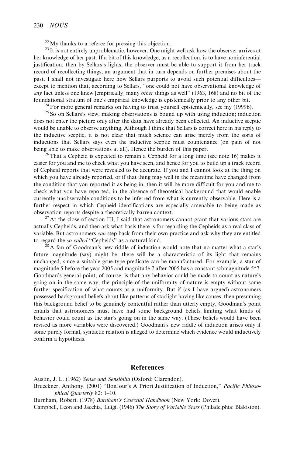$22$  My thanks to a referee for pressing this objection.<br> $23$  It is not entirely unproblematic, however. One might well ask how the observer arrives at her knowledge of her past. If a bit of this knowledge, as a recollection, is to have noninferential justification, then by Sellars's lights, the observer must be able to support it from her track record of recollecting things, an argument that in turn depends on further premises about the past. I shall not investigate here how Sellars purports to avoid such potential difficulties except to mention that, according to Sellars, ''one could not have observational knowledge of any fact unless one knew [empirically] many *other* things as well" (1963, 168) and no bit of the foundational stratum of one's empirical knowledge is epistemically prior to any other bit.<br><sup>24</sup> For more general remarks on having to trust yourself epistemically, see my (1999b).<br><sup>25</sup> So on Sellars's view, making observa

does not enter the picture only after the data have already been collected. An inductive sceptic would be unable to observe anything. Although I think that Sellars is correct here in his reply to the inductive sceptic, it is not clear that much science can arise merely from the sorts of inductions that Sellars says even the inductive sceptic must countenance (on pain of not being able to make observations at all). Hence the burden of this paper.<br><sup>26</sup>That a Cepheid is expected to remain a Cepheid for a long time (see note 16) makes it

easier for you and me to check what you have seen, and hence for you to build up a track record of Cepheid reports that were revealed to be accurate. If you and I cannot look at the thing on which you have already reported, or if that thing may well in the meantime have changed from the condition that you reported it as being in, then it will be more difficult for you and me to check what you have reported, in the absence of theoretical background that would enable currently unobservable conditions to be inferred from what is currently observable. Here is a further respect in which Cepheid identifications are especially amenable to being made as observation reports despite a theoretically barren context. 27At the close of section III, I said that astronomers cannot grant that various stars are

actually Cepheids, and then ask what basis there is for regarding the Cepheids as a real class of variable. But astronomers *can* step back from their own practice and ask why they are entitled to regard the *so-called* "Cepheids" as a natural kind.<br><sup>28</sup>A fan of Goodman's new riddle of induction would note that no matter what a star's

future magnitude (say) might be, there will be a characteristic of its light that remains unchanged, since a suitable grue-type predicate can be manufactured. For example, a star of magnitude 5 before the year 2005 and magnitude 7 after 2005 has a constant schmagnitude 5\*7. Goodman's general point, of course, is that any behavior could be made to count as nature's going on in the same way; the principle of the uniformity of nature is empty without some further specification of what counts as a uniformity. But if (as I have argued) astronomers possessed background beliefs about like patterns of starlight having like causes, then presuming this background belief to be genuinely contentful rather than utterly empty, Goodman's point entails that astronomers must have had some background beliefs limiting what kinds of behavior could count as the star's going on in the same way. (These beliefs would have been revised as more variables were discovered.) Goodman's new riddle of induction arises only if some purely formal, syntactic relation is alleged to determine which evidence would inductively confirm a hypothesis.

#### References

Austin, J. L. (1962) Sense and Sensibilia (Oxford: Clarendon).

Brueckner, Anthony. (2001) "BonJour's A Priori Justification of Induction," Pacific Philosophical Quarterly 82: 1–10.

Burnham, Robert. (1978) Burnham's Celestial Handbook (New York: Dover).

Campbell, Leon and Jacchia, Luigi. (1946) The Story of Variable Stars (Philadelphia: Blakiston).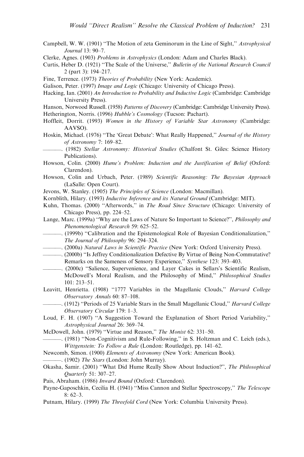- Campbell, W. W. (1901) ''The Motion of zeta Geminorum in the Line of Sight,'' Astrophysical Journal 13: 90–7.
- Clerke, Agnes. (1903) Problems in Astrophysics (London: Adam and Charles Black).
- Curtis, Heber D. (1921) ''The Scale of the Universe,'' Bulletin of the National Research Council 2 (part 3): 194–217.
- Fine, Terrence. (1973) Theories of Probability (New York: Academic).

Galison, Peter. (1997) Image and Logic (Chicago: University of Chicago Press).

- Hacking, Ian. (2001) An Introduction to Probability and Inductive Logic (Cambridge: Cambridge University Press).
- Hanson, Norwood Russell. (1958) Patterns of Discovery (Cambridge: Cambridge University Press).
- Hetherington, Norris. (1996) Hubble's Cosmology (Tucson: Pachart).
- Hoffleit, Dorrit. (1993) Women in the History of Variable Star Astronomy (Cambridge: AAVSO).
- Hoskin, Michael. (1976) "The 'Great Debate': What Really Happened," Journal of the History of Astronomy 7: 169–82.
- ———. (1982) Stellar Astronomy: Historical Studies (Chalfont St. Giles: Science History Publications).
- Howson, Colin. (2000) Hume's Problem: Induction and the Justification of Belief (Oxford: Clarendon).
- Howson, Colin and Urbach, Peter. (1989) Scientific Reasoning: The Bayesian Approach (LaSalle: Open Court).

Jevons, W. Stanley. (1905) The Principles of Science (London: Macmillan).

- Kornblith, Hilary. (1993) Inductive Inference and its Natural Ground (Cambridge: MIT).
- Kuhn, Thomas. (2000) "Afterwords," in The Road Since Structure (Chicago: University of Chicago Press), pp. 224–52.
- Lange, Marc. (1999a) "Why are the Laws of Nature So Important to Science?", *Philosophy and* Phenomenological Research 59: 625–52.
- ———. (1999b) ''Calibration and the Epistemological Role of Bayesian Conditionalization,'' The Journal of Philosophy 96: 294–324.
- (2000a) Natural Laws in Scientific Practice (New York: Oxford University Press).
- ———. (2000b) ''Is Jeffrey Conditionalization Defective By Virtue of Being Non-Commutative? Remarks on the Sameness of Sensory Experience,'' Synthese 123: 393–403.
- ———. (2000c) ''Salience, Supervenience, and Layer Cakes in Sellars's Scientific Realism, McDowell's Moral Realism, and the Philosophy of Mind,'' Philosophical Studies 101: 213–51.
- Leavitt, Henrietta. (1908) "1777 Variables in the Magellanic Clouds," Harvard College Observatory Annals 60: 87–108.
- —. (1912) "Periods of 25 Variable Stars in the Small Magellanic Cloud," *Harvard College* Observatory Circular 179: 1–3.
- Loud, F. H. (1907) ''A Suggestion Toward the Explanation of Short Period Variability,'' Astrophysical Journal 26: 369–74.
- McDowell, John. (1979) ''Virtue and Reason,'' The Monist 62: 331–50.
- ———. (1981) ''Non-Cognitivism and Rule-Following,'' in S. Holtzman and C. Leich (eds.), Wittgenstein: To Follow a Rule (London: Routledge), pp. 141–62.
- Newcomb, Simon. (1900) Elements of Astronomy (New York: American Book).

-. (1902) The Stars (London: John Murray).

- Okasha, Samir. (2001) ''What Did Hume Really Show About Induction?'', The Philosophical Quarterly 51: 307–27.
- Pais, Abraham. (1986) Inward Bound (Oxford: Clarendon).
- Payne-Gaposchkin, Cecilia H. (1941) "Miss Cannon and Stellar Spectroscopy," The Telescope  $8:62-3.$
- Putnam, Hilary. (1999) The Threefold Cord (New York: Columbia University Press).